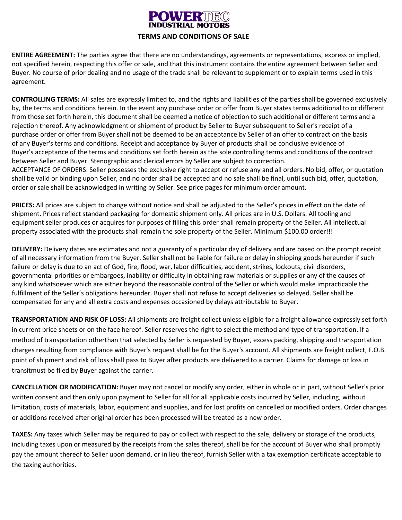## **NUERTHE**

## **TERMS AND CONDITIONS OF SALE**

**ENTIRE AGREEMENT:** The parties agree that there are no understandings, agreements or representations, express or implied, not specified herein, respecting this offer or sale, and that this instrument contains the entire agreement between Seller and Buyer. No course of prior dealing and no usage of the trade shall be relevant to supplement or to explain terms used in this agreement.

**CONTROLLING TERMS:** All sales are expressly limited to, and the rights and liabilities of the parties shall be governed exclusively by, the terms and conditions herein. In the event any purchase order or offer from Buyer states terms additional to or different from those set forth herein, this document shall be deemed a notice of objection to such additional or different terms and a rejection thereof. Any acknowledgment or shipment of product by Seller to Buyer subsequent to Seller's receipt of a purchase order or offer from Buyer shall not be deemed to be an acceptance by Seller of an offer to contract on the basis of any Buyer's terms and conditions. Receipt and acceptance by Buyer of products shall be conclusive evidence of Buyer's acceptance of the terms and conditions set forth herein as the sole controlling terms and conditions of the contract between Seller and Buyer. Stenographic and clerical errors by Seller are subject to correction. ACCEPTANCE OF ORDERS: Seller possesses the exclusive right to accept or refuse any and all orders. No bid, offer, or quotation shall be valid or binding upon Seller, and no order shall be accepted and no sale shall be final, until such bid, offer, quotation, order or sale shall be acknowledged in writing by Seller. See price pages for minimum order amount.

**PRICES:** All prices are subject to change without notice and shall be adjusted to the Seller's prices in effect on the date of shipment. Prices reflect standard packaging for domestic shipment only. All prices are in U.S. Dollars. All tooling and equipment seller produces or acquires for purposes of filling this order shall remain property of the Seller. All intellectual property associated with the products shall remain the sole property of the Seller. Minimum \$100.00 order!!!

**DELIVERY:** Delivery dates are estimates and not a guaranty of a particular day of delivery and are based on the prompt receipt of all necessary information from the Buyer. Seller shall not be liable for failure or delay in shipping goods hereunder if such failure or delay is due to an act of God, fire, flood, war, labor difficulties, accident, strikes, lockouts, civil disorders, governmental priorities or embargoes, inability or difficulty in obtaining raw materials or supplies or any of the causes of any kind whatsoever which are either beyond the reasonable control of the Seller or which would make impracticable the fulfillment of the Seller's obligations hereunder. Buyer shall not refuse to accept deliveries so delayed. Seller shall be compensated for any and all extra costs and expenses occasioned by delays attributable to Buyer.

**TRANSPORTATION AND RISK OF LOSS:** All shipments are freight collect unless eligible for a freight allowance expressly set forth in current price sheets or on the face hereof. Seller reserves the right to select the method and type of transportation. If a method of transportation otherthan that selected by Seller is requested by Buyer, excess packing, shipping and transportation charges resulting from compliance with Buyer's request shall be for the Buyer's account. All shipments are freight collect, F.O.B. point of shipment and risk of loss shall pass to Buyer after products are delivered to a carrier. Claims for damage or loss in transitmust be filed by Buyer against the carrier.

**CANCELLATION OR MODIFICATION:** Buyer may not cancel or modify any order, either in whole or in part, without Seller's prior written consent and then only upon payment to Seller for all for all applicable costs incurred by Seller, including, without limitation, costs of materials, labor, equipment and supplies, and for lost profits on cancelled or modified orders. Order changes or additions received after original order has been processed will be treated as a new order.

**TAXES:** Any taxes which Seller may be required to pay or collect with respect to the sale, delivery or storage of the products, including taxes upon or measured by the receipts from the sales thereof, shall be for the account of Buyer who shall promptly pay the amount thereof to Seller upon demand, or in lieu thereof, furnish Seller with a tax exemption certificate acceptable to the taxing authorities.